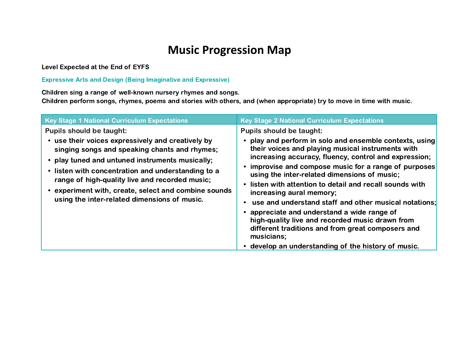## **Music Progression Map**

Level Expected at the End of EYFS

Expressive Arts and Design (Being Imaginative and Expressive)

Children sing a range of well-known nursery rhymes and songs.

Children perform songs, rhymes, poems and stories with others, and (when appropriate) try to move in time with music.

| <b>Pupils should be taught:</b><br><b>Pupils should be taught:</b><br>use their voices expressively and creatively by<br>their voices and playing musical instruments with<br>singing songs and speaking chants and rhymes;                                                                                                                                                                                                                                                                                    | <b>Key Stage 1 National Curriculum Expectations</b> | <b>Key Stage 2 National Curriculum Expectations</b>                                                                                                                                                                                                                                            |
|----------------------------------------------------------------------------------------------------------------------------------------------------------------------------------------------------------------------------------------------------------------------------------------------------------------------------------------------------------------------------------------------------------------------------------------------------------------------------------------------------------------|-----------------------------------------------------|------------------------------------------------------------------------------------------------------------------------------------------------------------------------------------------------------------------------------------------------------------------------------------------------|
| • listen with concentration and understanding to a<br>using the inter-related dimensions of music;<br>range of high-quality live and recorded music;<br>experiment with, create, select and combine sounds<br>increasing aural memory;<br>using the inter-related dimensions of music.<br>appreciate and understand a wide range of<br>high-quality live and recorded music drawn from<br>different traditions and from great composers and<br>musicians;<br>develop an understanding of the history of music. | • play tuned and untuned instruments musically;     | • play and perform in solo and ensemble contexts, using<br>increasing accuracy, fluency, control and expression;<br>• improvise and compose music for a range of purposes<br>• listen with attention to detail and recall sounds with<br>use and understand staff and other musical notations; |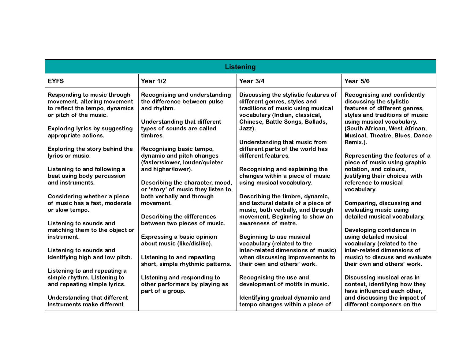| <b>Listening</b>                                                                                                                                                |                                                                                                                                                          |                                                                                                                                                                                          |                                                                                                                                                                                                 |  |
|-----------------------------------------------------------------------------------------------------------------------------------------------------------------|----------------------------------------------------------------------------------------------------------------------------------------------------------|------------------------------------------------------------------------------------------------------------------------------------------------------------------------------------------|-------------------------------------------------------------------------------------------------------------------------------------------------------------------------------------------------|--|
| <b>EYFS</b>                                                                                                                                                     | Year 1/2                                                                                                                                                 | Year 3/4                                                                                                                                                                                 | Year 5/6                                                                                                                                                                                        |  |
| Responding to music through<br>movement, altering movement<br>to reflect the tempo, dynamics<br>or pitch of the music.<br><b>Exploring lyrics by suggesting</b> | <b>Recognising and understanding</b><br>the difference between pulse<br>and rhythm.<br><b>Understanding that different</b><br>types of sounds are called | Discussing the stylistic features of<br>different genres, styles and<br>traditions of music using musical<br>vocabulary (Indian, classical,<br>Chinese, Battle Songs, Ballads,<br>Jazz). | <b>Recognising and confidently</b><br>discussing the stylistic<br>features of different genres,<br>styles and traditions of music<br>using musical vocabulary.<br>(South African, West African, |  |
| appropriate actions.                                                                                                                                            | timbres.                                                                                                                                                 | Understanding that music from                                                                                                                                                            | <b>Musical, Theatre, Blues, Dance</b><br>Remix.).                                                                                                                                               |  |
| Exploring the story behind the<br>lyrics or music.                                                                                                              | Recognising basic tempo,<br>dynamic and pitch changes<br>(faster/slower, louder/quieter                                                                  | different parts of the world has<br>different features.                                                                                                                                  | Representing the features of a<br>piece of music using graphic                                                                                                                                  |  |
| Listening to and following a<br>beat using body percussion<br>and instruments.                                                                                  | and higher/lower).<br>Describing the character, mood,                                                                                                    | Recognising and explaining the<br>changes within a piece of music<br>using musical vocabulary.                                                                                           | notation, and colours,<br>justifying their choices with<br>reference to musical                                                                                                                 |  |
| <b>Considering whether a piece</b>                                                                                                                              | or 'story' of music they listen to,<br>both verbally and through                                                                                         | Describing the timbre, dynamic,                                                                                                                                                          | vocabulary.                                                                                                                                                                                     |  |
| of music has a fast, moderate<br>or slow tempo.                                                                                                                 | movement.<br><b>Describing the differences</b>                                                                                                           | and textural details of a piece of<br>music, both verbally, and through<br>movement. Beginning to show an                                                                                | Comparing, discussing and<br>evaluating music using<br>detailed musical vocabulary.                                                                                                             |  |
| Listening to sounds and<br>matching them to the object or                                                                                                       | between two pieces of music.                                                                                                                             | awareness of metre.                                                                                                                                                                      | Developing confidence in                                                                                                                                                                        |  |
| instrument.<br>Listening to sounds and                                                                                                                          | <b>Expressing a basic opinion</b><br>about music (like/dislike).                                                                                         | <b>Beginning to use musical</b><br>vocabulary (related to the<br>inter-related dimensions of music)                                                                                      | using detailed musical<br>vocabulary (related to the<br>inter-related dimensions of                                                                                                             |  |
| identifying high and low pitch.                                                                                                                                 | Listening to and repeating<br>short, simple rhythmic patterns.                                                                                           | when discussing improvements to<br>their own and others' work.                                                                                                                           | music) to discuss and evaluate<br>their own and others' work.                                                                                                                                   |  |
| Listening to and repeating a<br>simple rhythm. Listening to<br>and repeating simple lyrics.                                                                     | Listening and responding to<br>other performers by playing as<br>part of a group.                                                                        | Recognising the use and<br>development of motifs in music.                                                                                                                               | Discussing musical eras in<br>context, identifying how they<br>have influenced each other,                                                                                                      |  |
| <b>Understanding that different</b><br>instruments make different                                                                                               |                                                                                                                                                          | Identifying gradual dynamic and<br>tempo changes within a piece of                                                                                                                       | and discussing the impact of<br>different composers on the                                                                                                                                      |  |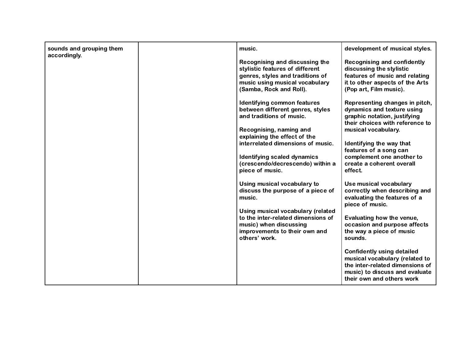| sounds and grouping them<br>accordingly. | music.                                                                                                                                                                                                                                                                                   | development of musical styles.                                                                                                                                                                                                                                                    |
|------------------------------------------|------------------------------------------------------------------------------------------------------------------------------------------------------------------------------------------------------------------------------------------------------------------------------------------|-----------------------------------------------------------------------------------------------------------------------------------------------------------------------------------------------------------------------------------------------------------------------------------|
|                                          | Recognising and discussing the<br>stylistic features of different<br>genres, styles and traditions of<br>music using musical vocabulary<br>(Samba, Rock and Roll).                                                                                                                       | <b>Recognising and confidently</b><br>discussing the stylistic<br>features of music and relating<br>it to other aspects of the Arts<br>(Pop art, Film music).                                                                                                                     |
|                                          | Identifying common features<br>between different genres, styles<br>and traditions of music.<br>Recognising, naming and<br>explaining the effect of the<br>interrelated dimensions of music.<br><b>Identifying scaled dynamics</b><br>(crescendo/decrescendo) within a<br>piece of music. | Representing changes in pitch,<br>dynamics and texture using<br>graphic notation, justifying<br>their choices with reference to<br>musical vocabulary.<br>Identifying the way that<br>features of a song can<br>complement one another to<br>create a coherent overall<br>effect. |
|                                          | Using musical vocabulary to<br>discuss the purpose of a piece of<br>music.<br>Using musical vocabulary (related<br>to the inter-related dimensions of<br>music) when discussing<br>improvements to their own and<br>others' work.                                                        | Use musical vocabulary<br>correctly when describing and<br>evaluating the features of a<br>piece of music.<br>Evaluating how the venue,<br>occasion and purpose affects<br>the way a piece of music<br>sounds.<br><b>Confidently using detailed</b>                               |
|                                          |                                                                                                                                                                                                                                                                                          | musical vocabulary (related to<br>the inter-related dimensions of<br>music) to discuss and evaluate<br>their own and others work                                                                                                                                                  |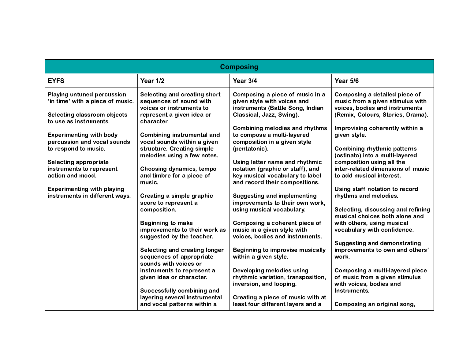| <b>Composing</b>                                                                                                               |                                                                                                                                |                                                                                                                                         |                                                                                                                                          |  |
|--------------------------------------------------------------------------------------------------------------------------------|--------------------------------------------------------------------------------------------------------------------------------|-----------------------------------------------------------------------------------------------------------------------------------------|------------------------------------------------------------------------------------------------------------------------------------------|--|
| <b>EYFS</b>                                                                                                                    | Year 1/2                                                                                                                       | Year 3/4                                                                                                                                | Year 5/6                                                                                                                                 |  |
| <b>Playing untuned percussion</b><br>'in time' with a piece of music.<br>Selecting classroom objects<br>to use as instruments. | Selecting and creating short<br>sequences of sound with<br>voices or instruments to<br>represent a given idea or<br>character. | Composing a piece of music in a<br>given style with voices and<br>instruments (Battle Song, Indian<br>Classical, Jazz, Swing).          | Composing a detailed piece of<br>music from a given stimulus with<br>voices, bodies and instruments<br>(Remix, Colours, Stories, Drama). |  |
| <b>Experimenting with body</b><br>percussion and vocal sounds<br>to respond to music.                                          | <b>Combining instrumental and</b><br>vocal sounds within a given<br>structure. Creating simple<br>melodies using a few notes.  | <b>Combining melodies and rhythms</b><br>to compose a multi-layered<br>composition in a given style<br>(pentatonic).                    | Improvising coherently within a<br>given style.<br><b>Combining rhythmic patterns</b><br>(ostinato) into a multi-layered                 |  |
| Selecting appropriate<br>instruments to represent<br>action and mood.                                                          | Choosing dynamics, tempo<br>and timbre for a piece of<br>music.                                                                | Using letter name and rhythmic<br>notation (graphic or staff), and<br>key musical vocabulary to label<br>and record their compositions. | composition using all the<br>inter-related dimensions of music<br>to add musical interest.                                               |  |
| <b>Experimenting with playing</b><br>instruments in different ways.                                                            | Creating a simple graphic<br>score to represent a                                                                              | <b>Suggesting and implementing</b><br>improvements to their own work,                                                                   | Using staff notation to record<br>rhythms and melodies.                                                                                  |  |
|                                                                                                                                | composition.<br><b>Beginning to make</b><br>improvements to their work as                                                      | using musical vocabulary.<br>Composing a coherent piece of<br>music in a given style with                                               | Selecting, discussing and refining<br>musical choices both alone and<br>with others, using musical<br>vocabulary with confidence.        |  |
|                                                                                                                                | suggested by the teacher.<br><b>Selecting and creating longer</b><br>sequences of appropriate<br>sounds with voices or         | voices, bodies and instruments.<br><b>Beginning to improvise musically</b><br>within a given style.                                     | <b>Suggesting and demonstrating</b><br>improvements to own and others'<br>work.                                                          |  |
|                                                                                                                                | instruments to represent a<br>given idea or character.<br>Successfully combining and                                           | Developing melodies using<br>rhythmic variation, transposition,<br>inversion, and looping.                                              | Composing a multi-layered piece<br>of music from a given stimulus<br>with voices, bodies and<br>Instruments.                             |  |
|                                                                                                                                | layering several instrumental<br>and vocal patterns within a                                                                   | Creating a piece of music with at<br>least four different layers and a                                                                  | Composing an original song,                                                                                                              |  |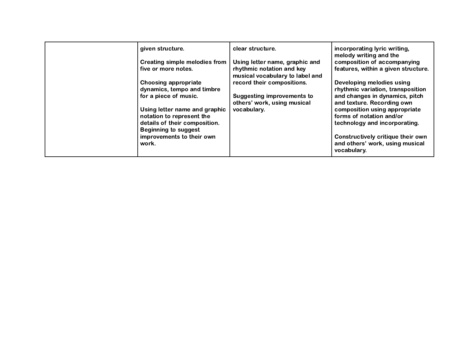| given structure.                                           | clear structure.                                             | incorporating lyric writing,<br>melody writing and the                              |
|------------------------------------------------------------|--------------------------------------------------------------|-------------------------------------------------------------------------------------|
| Creating simple melodies from                              | Using letter name, graphic and                               | composition of accompanying                                                         |
| five or more notes.                                        | rhythmic notation and key<br>musical vocabulary to label and | features, within a given structure.                                                 |
| Choosing appropriate                                       | record their compositions.                                   | Developing melodies using                                                           |
| dynamics, tempo and timbre                                 |                                                              | rhythmic variation, transposition                                                   |
| for a piece of music.                                      | <b>Suggesting improvements to</b>                            | and changes in dynamics, pitch                                                      |
|                                                            | others' work, using musical                                  | and texture. Recording own                                                          |
| Using letter name and graphic<br>notation to represent the | vocabulary.                                                  | composition using appropriate<br>forms of notation and/or                           |
| details of their composition.                              |                                                              | technology and incorporating.                                                       |
| <b>Beginning to suggest</b>                                |                                                              |                                                                                     |
| improvements to their own<br>work.                         |                                                              | Constructively critique their own<br>and others' work, using musical<br>vocabulary. |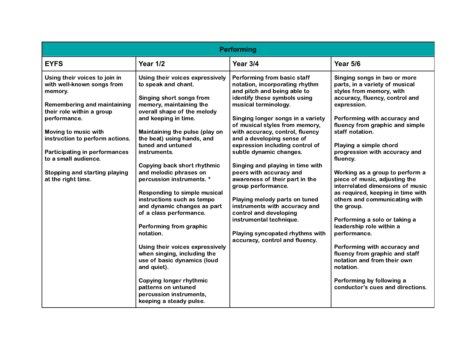| Performing                                                                                                                                                                                                                                                                                                                                         |                                                                                                                                                                                                                                                                                                                                                                                                                                                                                                                                                                                                                                                                                                                                                                       |                                                                                                                                                                                                                                                                                                                                                                                                                                                                                                                                                                                                                                                                              |                                                                                                                                                                                                                                                                                                                                                                                                                                                                                                                                                                                                                                                                                                                                                                  |  |
|----------------------------------------------------------------------------------------------------------------------------------------------------------------------------------------------------------------------------------------------------------------------------------------------------------------------------------------------------|-----------------------------------------------------------------------------------------------------------------------------------------------------------------------------------------------------------------------------------------------------------------------------------------------------------------------------------------------------------------------------------------------------------------------------------------------------------------------------------------------------------------------------------------------------------------------------------------------------------------------------------------------------------------------------------------------------------------------------------------------------------------------|------------------------------------------------------------------------------------------------------------------------------------------------------------------------------------------------------------------------------------------------------------------------------------------------------------------------------------------------------------------------------------------------------------------------------------------------------------------------------------------------------------------------------------------------------------------------------------------------------------------------------------------------------------------------------|------------------------------------------------------------------------------------------------------------------------------------------------------------------------------------------------------------------------------------------------------------------------------------------------------------------------------------------------------------------------------------------------------------------------------------------------------------------------------------------------------------------------------------------------------------------------------------------------------------------------------------------------------------------------------------------------------------------------------------------------------------------|--|
| <b>EYFS</b>                                                                                                                                                                                                                                                                                                                                        | <b>Year 1/2</b>                                                                                                                                                                                                                                                                                                                                                                                                                                                                                                                                                                                                                                                                                                                                                       | Year 3/4                                                                                                                                                                                                                                                                                                                                                                                                                                                                                                                                                                                                                                                                     | <b>Year 5/6</b>                                                                                                                                                                                                                                                                                                                                                                                                                                                                                                                                                                                                                                                                                                                                                  |  |
| Using their voices to join in<br>with well-known songs from<br>memory.<br><b>Remembering and maintaining</b><br>their role within a group<br>performance.<br>Moving to music with<br>instruction to perform actions.<br><b>Participating in performances</b><br>to a small audience.<br><b>Stopping and starting playing</b><br>at the right time. | Using their voices expressively<br>to speak and chant.<br>Singing short songs from<br>memory, maintaining the<br>overall shape of the melody<br>and keeping in time.<br>Maintaining the pulse (play on<br>the beat) using hands, and<br>tuned and untuned<br>instruments.<br>Copying back short rhythmic<br>and melodic phrases on<br>percussion instruments. *<br><b>Responding to simple musical</b><br>instructions such as tempo<br>and dynamic changes as part<br>of a class performance.<br>Performing from graphic<br>notation.<br>Using their voices expressively<br>when singing, including the<br>use of basic dynamics (loud<br>and quiet).<br><b>Copying longer rhythmic</b><br>patterns on untuned<br>percussion instruments,<br>keeping a steady pulse. | Performing from basic staff<br>notation, incorporating rhythm<br>and pitch and being able to<br>identify these symbols using<br>musical terminology.<br>Singing longer songs in a variety<br>of musical styles from memory,<br>with accuracy, control, fluency<br>and a developing sense of<br>expression including control of<br>subtle dynamic changes.<br>Singing and playing in time with<br>peers with accuracy and<br>awareness of their part in the<br>group performance.<br>Playing melody parts on tuned<br>instruments with accuracy and<br>control and developing<br>instrumental technique.<br>Playing syncopated rhythms with<br>accuracy, control and fluency. | Singing songs in two or more<br>parts, in a variety of musical<br>styles from memory, with<br>accuracy, fluency, control and<br>expression.<br>Performing with accuracy and<br>fluency from graphic and simple<br>staff notation.<br>Playing a simple chord<br>progression with accuracy and<br>fluency.<br>Working as a group to perform a<br>piece of music, adjusting the<br>interrelated dimensions of music<br>as required, keeping in time with<br>others and communicating with<br>the group.<br>Performing a solo or taking a<br>leadership role within a<br>performance.<br>Performing with accuracy and<br>fluency from graphic and staff<br>notation and from their own<br>notation.<br>Performing by following a<br>conductor's cues and directions. |  |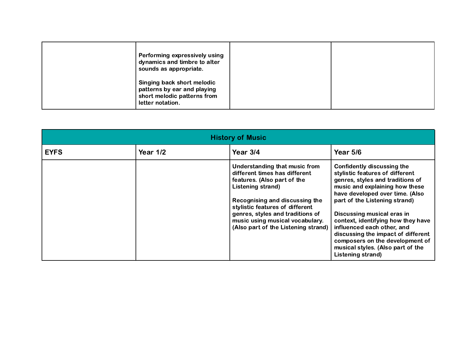| Performing expressively using<br>dynamics and timbre to alter<br>sounds as appropriate.                      |  |
|--------------------------------------------------------------------------------------------------------------|--|
| Singing back short melodic<br>patterns by ear and playing<br>short melodic patterns from<br>letter notation. |  |

| <b>History of Music</b> |            |                                                                                                                                                                                                                                                                                                       |                                                                                                                                                                                                                                                                                                                                                                                                                                              |  |
|-------------------------|------------|-------------------------------------------------------------------------------------------------------------------------------------------------------------------------------------------------------------------------------------------------------------------------------------------------------|----------------------------------------------------------------------------------------------------------------------------------------------------------------------------------------------------------------------------------------------------------------------------------------------------------------------------------------------------------------------------------------------------------------------------------------------|--|
| <b>EYFS</b>             | Year $1/2$ | Year $3/4$                                                                                                                                                                                                                                                                                            | Year $5/6$                                                                                                                                                                                                                                                                                                                                                                                                                                   |  |
|                         |            | Understanding that music from<br>different times has different<br>features. (Also part of the<br>Listening strand)<br>Recognising and discussing the<br>stylistic features of different<br>genres, styles and traditions of<br>music using musical vocabulary.<br>(Also part of the Listening strand) | Confidently discussing the<br>stylistic features of different<br>genres, styles and traditions of<br>music and explaining how these<br>have developed over time. (Also<br>part of the Listening strand)<br>Discussing musical eras in<br>context, identifying how they have<br>influenced each other, and<br>discussing the impact of different<br>composers on the development of<br>musical styles. (Also part of the<br>Listening strand) |  |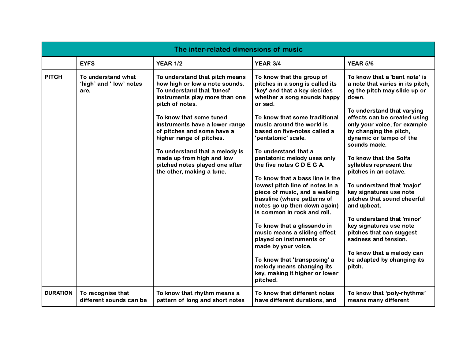|                 | The inter-related dimensions of music                 |                                                                                                                                                     |                                                                                                                                                                                                   |                                                                                                                                          |  |
|-----------------|-------------------------------------------------------|-----------------------------------------------------------------------------------------------------------------------------------------------------|---------------------------------------------------------------------------------------------------------------------------------------------------------------------------------------------------|------------------------------------------------------------------------------------------------------------------------------------------|--|
|                 | <b>EYFS</b>                                           | <b>YEAR 1/2</b>                                                                                                                                     | <b>YEAR 3/4</b>                                                                                                                                                                                   | <b>YEAR 5/6</b>                                                                                                                          |  |
| <b>PITCH</b>    | To understand what<br>'high' and ' low' notes<br>are. | To understand that pitch means<br>how high or low a note sounds.<br>To understand that 'tuned'<br>instruments play more than one<br>pitch of notes. | To know that the group of<br>pitches in a song is called its<br>'key' and that a key decides<br>whether a song sounds happy<br>or sad.                                                            | To know that a 'bent note' is<br>a note that varies in its pitch,<br>eg the pitch may slide up or<br>down.<br>To understand that varying |  |
|                 |                                                       | To know that some tuned<br>instruments have a lower range<br>of pitches and some have a<br>higher range of pitches.                                 | To know that some traditional<br>music around the world is<br>based on five-notes called a<br>'pentatonic' scale.                                                                                 | effects can be created using<br>only your voice, for example<br>by changing the pitch,<br>dynamic or tempo of the<br>sounds made.        |  |
|                 |                                                       | To understand that a melody is<br>made up from high and low<br>pitched notes played one after<br>the other, making a tune.                          | To understand that a<br>pentatonic melody uses only<br>the five notes C D E G A.                                                                                                                  | To know that the Solfa<br>syllables represent the<br>pitches in an octave.                                                               |  |
|                 |                                                       |                                                                                                                                                     | To know that a bass line is the<br>lowest pitch line of notes in a<br>piece of music, and a walking<br>bassline (where patterns of<br>notes go up then down again)<br>is common in rock and roll. | To understand that 'major'<br>key signatures use note<br>pitches that sound cheerful<br>and upbeat.                                      |  |
|                 |                                                       |                                                                                                                                                     | To know that a glissando in<br>music means a sliding effect<br>played on instruments or<br>made by your voice.                                                                                    | To understand that 'minor'<br>key signatures use note<br>pitches that can suggest<br>sadness and tension.<br>To know that a melody can   |  |
|                 |                                                       |                                                                                                                                                     | To know that 'transposing' a<br>melody means changing its<br>key, making it higher or lower<br>pitched.                                                                                           | be adapted by changing its<br>pitch.                                                                                                     |  |
| <b>DURATION</b> | To recognise that<br>different sounds can be          | To know that rhythm means a<br>pattern of long and short notes                                                                                      | To know that different notes<br>have different durations, and                                                                                                                                     | To know that 'poly-rhythms'<br>means many different                                                                                      |  |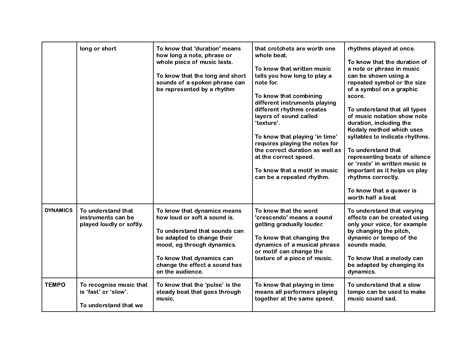|                 | long or short                                                            | To know that 'duration' means<br>how long a note, phrase or<br>whole piece of music lasts.<br>To know that the long and short<br>sounds of a spoken phrase can<br>be represented by a rhythm                                               | that crotchets are worth one<br>whole beat.<br>To know that written music<br>tells you how long to play a<br>note for.<br>To know that combining<br>different instruments playing<br>different rhythms creates<br>layers of sound called<br>'texture'.<br>To know that playing 'in time'<br>requires playing the notes for<br>the correct duration as well as<br>at the correct speed.<br>To know that a motif in music<br>can be a repeated rhythm. | rhythms played at once.<br>To know that the duration of<br>a note or phrase in music<br>can be shown using a<br>repeated symbol or the size<br>of a symbol on a graphic<br>score.<br>To understand that all types<br>of music notation show note<br>duration, including the<br>Kodaly method which uses<br>syllables to indicate rhythms.<br>To understand that<br>representing beats of silence<br>or 'rests' in written music is<br>important as it helps us play<br>rhythms correctly.<br>To know that a quaver is<br>worth half a beat |
|-----------------|--------------------------------------------------------------------------|--------------------------------------------------------------------------------------------------------------------------------------------------------------------------------------------------------------------------------------------|------------------------------------------------------------------------------------------------------------------------------------------------------------------------------------------------------------------------------------------------------------------------------------------------------------------------------------------------------------------------------------------------------------------------------------------------------|--------------------------------------------------------------------------------------------------------------------------------------------------------------------------------------------------------------------------------------------------------------------------------------------------------------------------------------------------------------------------------------------------------------------------------------------------------------------------------------------------------------------------------------------|
| <b>DYNAMICS</b> | To understand that<br>instruments can be<br>played loudly or softly.     | To know that dynamics means<br>how loud or soft a sound is.<br>To understand that sounds can<br>be adapted to change their<br>mood, eg through dynamics.<br>To know that dynamics can<br>change the effect a sound has<br>on the audience. | To know that the word<br>'crescendo' means a sound<br>getting gradually louder.<br>To know that changing the<br>dynamics of a musical phrase<br>or motif can change the<br>texture of a piece of music.                                                                                                                                                                                                                                              | To understand that varying<br>effects can be created using<br>only your voice, for example<br>by changing the pitch,<br>dynamic or tempo of the<br>sounds made.<br>To know that a melody can<br>be adapted by changing its<br>dynamics.                                                                                                                                                                                                                                                                                                    |
| <b>TEMPO</b>    | To recognise music that<br>is 'fast' or 'slow'.<br>To understand that we | To know that the 'pulse' is the<br>steady beat that goes through<br>music.                                                                                                                                                                 | To know that playing in time<br>means all performers playing<br>together at the same speed.                                                                                                                                                                                                                                                                                                                                                          | To understand that a slow<br>tempo can be used to make<br>music sound sad.                                                                                                                                                                                                                                                                                                                                                                                                                                                                 |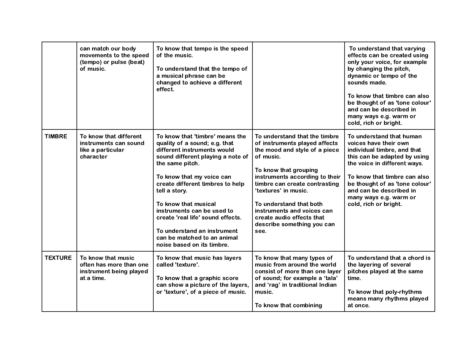|                | can match our body<br>movements to the speed<br>(tempo) or pulse (beat)<br>of music.   | To know that tempo is the speed<br>of the music.<br>To understand that the tempo of<br>a musical phrase can be<br>changed to achieve a different<br>effect.                                                                                                                                                                                                                                                                      |                                                                                                                                                                                                                                                                                                                                                              | To understand that varying<br>effects can be created using<br>only your voice, for example<br>by changing the pitch,<br>dynamic or tempo of the<br>sounds made.<br>To know that timbre can also<br>be thought of as 'tone colour'<br>and can be described in<br>many ways e.g. warm or<br>cold, rich or bright. |
|----------------|----------------------------------------------------------------------------------------|----------------------------------------------------------------------------------------------------------------------------------------------------------------------------------------------------------------------------------------------------------------------------------------------------------------------------------------------------------------------------------------------------------------------------------|--------------------------------------------------------------------------------------------------------------------------------------------------------------------------------------------------------------------------------------------------------------------------------------------------------------------------------------------------------------|-----------------------------------------------------------------------------------------------------------------------------------------------------------------------------------------------------------------------------------------------------------------------------------------------------------------|
| <b>TIMBRE</b>  | To know that different<br>instruments can sound<br>like a particular<br>character      | To know that 'timbre' means the<br>quality of a sound; e.g. that<br>different instruments would<br>sound different playing a note of<br>the same pitch.<br>To know that my voice can<br>create different timbres to help<br>tell a story.<br>To know that musical<br>instruments can be used to<br>create 'real life' sound effects.<br>To understand an instrument<br>can be matched to an animal<br>noise based on its timbre. | To understand that the timbre<br>of instruments played affects<br>the mood and style of a piece<br>of music.<br>To know that grouping<br>instruments according to their<br>timbre can create contrasting<br>'textures' in music.<br>To understand that both<br>instruments and voices can<br>create audio effects that<br>describe something you can<br>see. | To understand that human<br>voices have their own<br>individual timbre, and that<br>this can be adapted by using<br>the voice in different ways.<br>To know that timbre can also<br>be thought of as 'tone colour'<br>and can be described in<br>many ways e.g. warm or<br>cold, rich or bright.                |
| <b>TEXTURE</b> | To know that music<br>often has more than one<br>instrument being played<br>at a time. | To know that music has layers<br>called 'texture'.<br>To know that a graphic score<br>can show a picture of the layers,<br>or 'texture', of a piece of music.                                                                                                                                                                                                                                                                    | To know that many types of<br>music from around the world<br>consist of more than one layer<br>of sound; for example a 'tala'<br>and 'rag' in traditional Indian<br>music.<br>To know that combining                                                                                                                                                         | To understand that a chord is<br>the layering of several<br>pitches played at the same<br>time.<br>To know that poly-rhythms<br>means many rhythms played<br>at once.                                                                                                                                           |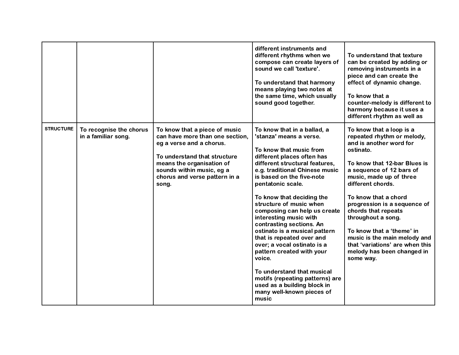|                  |                                                |                                                                                                                                                                                                                                  | different instruments and<br>different rhythms when we<br>compose can create layers of<br>sound we call 'texture'.<br>To understand that harmony<br>means playing two notes at<br>the same time, which usually<br>sound good together.                                                                                                                                                                                                                                                                                                                                                                                                                        | To understand that texture<br>can be created by adding or<br>removing instruments in a<br>piece and can create the<br>effect of dynamic change.<br>To know that a<br>counter-melody is different to<br>harmony because it uses a<br>different rhythm as well as                                                                                                                                                                                            |
|------------------|------------------------------------------------|----------------------------------------------------------------------------------------------------------------------------------------------------------------------------------------------------------------------------------|---------------------------------------------------------------------------------------------------------------------------------------------------------------------------------------------------------------------------------------------------------------------------------------------------------------------------------------------------------------------------------------------------------------------------------------------------------------------------------------------------------------------------------------------------------------------------------------------------------------------------------------------------------------|------------------------------------------------------------------------------------------------------------------------------------------------------------------------------------------------------------------------------------------------------------------------------------------------------------------------------------------------------------------------------------------------------------------------------------------------------------|
| <b>STRUCTURE</b> | To recognise the chorus<br>in a familiar song. | To know that a piece of music<br>can have more than one section,<br>eg a verse and a chorus.<br>To understand that structure<br>means the organisation of<br>sounds within music, eg a<br>chorus and verse pattern in a<br>song. | To know that in a ballad, a<br>'stanza' means a verse.<br>To know that music from<br>different places often has<br>different structural features,<br>e.g. traditional Chinese music<br>is based on the five-note<br>pentatonic scale.<br>To know that deciding the<br>structure of music when<br>composing can help us create<br>interesting music with<br>contrasting sections. An<br>ostinato is a musical pattern<br>that is repeated over and<br>over; a vocal ostinato is a<br>pattern created with your<br>voice.<br>To understand that musical<br>motifs (repeating patterns) are<br>used as a building block in<br>many well-known pieces of<br>music | To know that a loop is a<br>repeated rhythm or melody,<br>and is another word for<br>ostinato.<br>To know that 12-bar Blues is<br>a sequence of 12 bars of<br>music, made up of three<br>different chords.<br>To know that a chord<br>progression is a sequence of<br>chords that repeats<br>throughout a song.<br>To know that a 'theme' in<br>music is the main melody and<br>that 'variations' are when this<br>melody has been changed in<br>some way. |